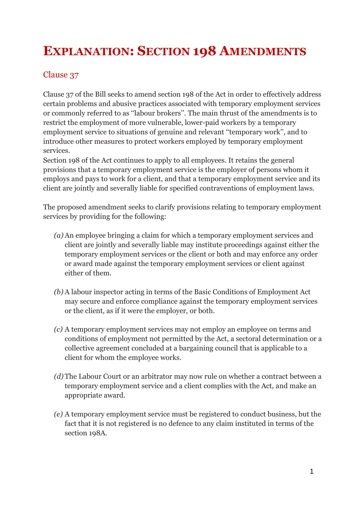## **EXPLANATION: SECTION 198 AMENDMENTS**

## Clause 37

Clause 37 of the Bill seeks to amend section 198 of the Act in order to effectively address certain problems and abusive practices associated with temporary employment services or commonly referred to as ''labour brokers''. The main thrust of the amendments is to restrict the employment of more vulnerable, lower-paid workers by a temporary employment service to situations of genuine and relevant ''temporary work'', and to introduce other measures to protect workers employed by temporary employment services.

Section 198 of the Act continues to apply to all employees. It retains the general provisions that a temporary employment service is the employer of persons whom it employs and pays to work for a client, and that a temporary employment service and its client are jointly and severally liable for specified contraventions of employment laws.

The proposed amendment seeks to clarify provisions relating to temporary employment services by providing for the following:

- *(a)* An employee bringing a claim for which a temporary employment services and client are jointly and severally liable may institute proceedings against either the temporary employment services or the client or both and may enforce any order or award made against the temporary employment services or client against either of them.
- *(b)* A labour inspector acting in terms of the Basic Conditions of Employment Act may secure and enforce compliance against the temporary employment services or the client, as if it were the employer, or both.
- *(c)* A temporary employment services may not employ an employee on terms and conditions of employment not permitted by the Act, a sectoral determination or a collective agreement concluded at a bargaining council that is applicable to a client for whom the employee works.
- *(d)* The Labour Court or an arbitrator may now rule on whether a contract between a temporary employment service and a client complies with the Act, and make an appropriate award.
- *(e)* A temporary employment service must be registered to conduct business, but the fact that it is not registered is no defence to any claim instituted in terms of the section 198A.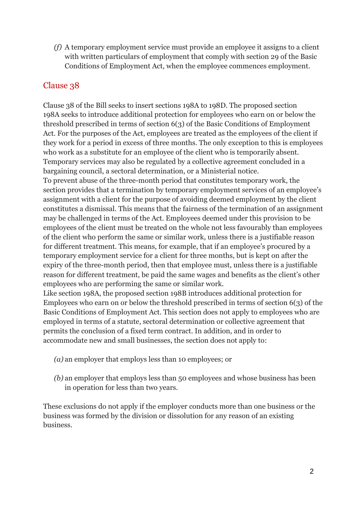*(f)* A temporary employment service must provide an employee it assigns to a client with written particulars of employment that comply with section 29 of the Basic Conditions of Employment Act, when the employee commences employment.

## Clause 38

Clause 38 of the Bill seeks to insert sections 198A to 198D. The proposed section 198A seeks to introduce additional protection for employees who earn on or below the threshold prescribed in terms of section 6(3) of the Basic Conditions of Employment Act. For the purposes of the Act, employees are treated as the employees of the client if they work for a period in excess of three months. The only exception to this is employees who work as a substitute for an employee of the client who is temporarily absent. Temporary services may also be regulated by a collective agreement concluded in a bargaining council, a sectoral determination, or a Ministerial notice.

To prevent abuse of the three-month period that constitutes temporary work, the section provides that a termination by temporary employment services of an employee's assignment with a client for the purpose of avoiding deemed employment by the client constitutes a dismissal. This means that the fairness of the termination of an assignment may be challenged in terms of the Act. Employees deemed under this provision to be employees of the client must be treated on the whole not less favourably than employees of the client who perform the same or similar work, unless there is a justifiable reason for different treatment. This means, for example, that if an employee's procured by a temporary employment service for a client for three months, but is kept on after the expiry of the three-month period, then that employee must, unless there is a justifiable reason for different treatment, be paid the same wages and benefits as the client's other employees who are performing the same or similar work.

Like section 198A, the proposed section 198B introduces additional protection for Employees who earn on or below the threshold prescribed in terms of section 6(3) of the Basic Conditions of Employment Act. This section does not apply to employees who are employed in terms of a statute, sectoral determination or collective agreement that permits the conclusion of a fixed term contract. In addition, and in order to accommodate new and small businesses, the section does not apply to:

- *(a)* an employer that employs less than 10 employees; or
- *(b)* an employer that employs less than 50 employees and whose business has been in operation for less than two years.

These exclusions do not apply if the employer conducts more than one business or the business was formed by the division or dissolution for any reason of an existing business.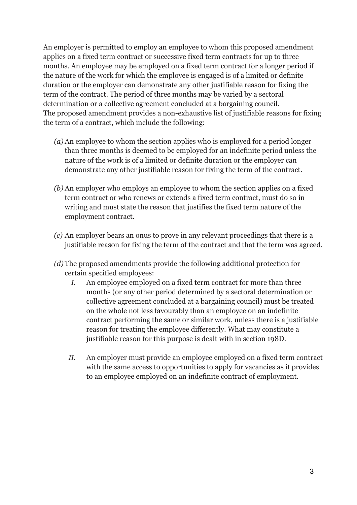An employer is permitted to employ an employee to whom this proposed amendment applies on a fixed term contract or successive fixed term contracts for up to three months. An employee may be employed on a fixed term contract for a longer period if the nature of the work for which the employee is engaged is of a limited or definite duration or the employer can demonstrate any other justifiable reason for fixing the term of the contract. The period of three months may be varied by a sectoral determination or a collective agreement concluded at a bargaining council. The proposed amendment provides a non-exhaustive list of justifiable reasons for fixing the term of a contract, which include the following:

- *(a)* An employee to whom the section applies who is employed for a period longer than three months is deemed to be employed for an indefinite period unless the nature of the work is of a limited or definite duration or the employer can demonstrate any other justifiable reason for fixing the term of the contract.
- *(b)* An employer who employs an employee to whom the section applies on a fixed term contract or who renews or extends a fixed term contract, must do so in writing and must state the reason that justifies the fixed term nature of the employment contract.
- *(c)* An employer bears an onus to prove in any relevant proceedings that there is a justifiable reason for fixing the term of the contract and that the term was agreed.
- *(d)* The proposed amendments provide the following additional protection for certain specified employees:
	- *I.* An employee employed on a fixed term contract for more than three months (or any other period determined by a sectoral determination or collective agreement concluded at a bargaining council) must be treated on the whole not less favourably than an employee on an indefinite contract performing the same or similar work, unless there is a justifiable reason for treating the employee differently. What may constitute a justifiable reason for this purpose is dealt with in section 198D.
	- *II.* An employer must provide an employee employed on a fixed term contract with the same access to opportunities to apply for vacancies as it provides to an employee employed on an indefinite contract of employment.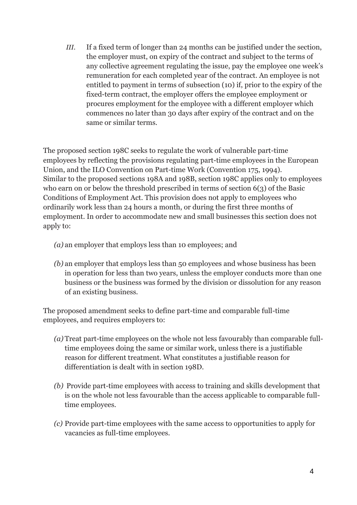*III.* If a fixed term of longer than 24 months can be justified under the section, the employer must, on expiry of the contract and subject to the terms of any collective agreement regulating the issue, pay the employee one week's remuneration for each completed year of the contract. An employee is not entitled to payment in terms of subsection (10) if, prior to the expiry of the fixed-term contract, the employer offers the employee employment or procures employment for the employee with a different employer which commences no later than 30 days after expiry of the contract and on the same or similar terms.

The proposed section 198C seeks to regulate the work of vulnerable part-time employees by reflecting the provisions regulating part-time employees in the European Union, and the ILO Convention on Part-time Work (Convention 175, 1994). Similar to the proposed sections 198A and 198B, section 198C applies only to employees who earn on or below the threshold prescribed in terms of section 6(3) of the Basic Conditions of Employment Act. This provision does not apply to employees who ordinarily work less than 24 hours a month, or during the first three months of employment. In order to accommodate new and small businesses this section does not apply to:

*(a)* an employer that employs less than 10 employees; and

*(b)* an employer that employs less than 50 employees and whose business has been in operation for less than two years, unless the employer conducts more than one business or the business was formed by the division or dissolution for any reason of an existing business.

The proposed amendment seeks to define part-time and comparable full-time employees, and requires employers to:

- *(a)* Treat part-time employees on the whole not less favourably than comparable fulltime employees doing the same or similar work, unless there is a justifiable reason for different treatment. What constitutes a justifiable reason for differentiation is dealt with in section 198D.
- *(b)* Provide part-time employees with access to training and skills development that is on the whole not less favourable than the access applicable to comparable fulltime employees.
- *(c)* Provide part-time employees with the same access to opportunities to apply for vacancies as full-time employees.